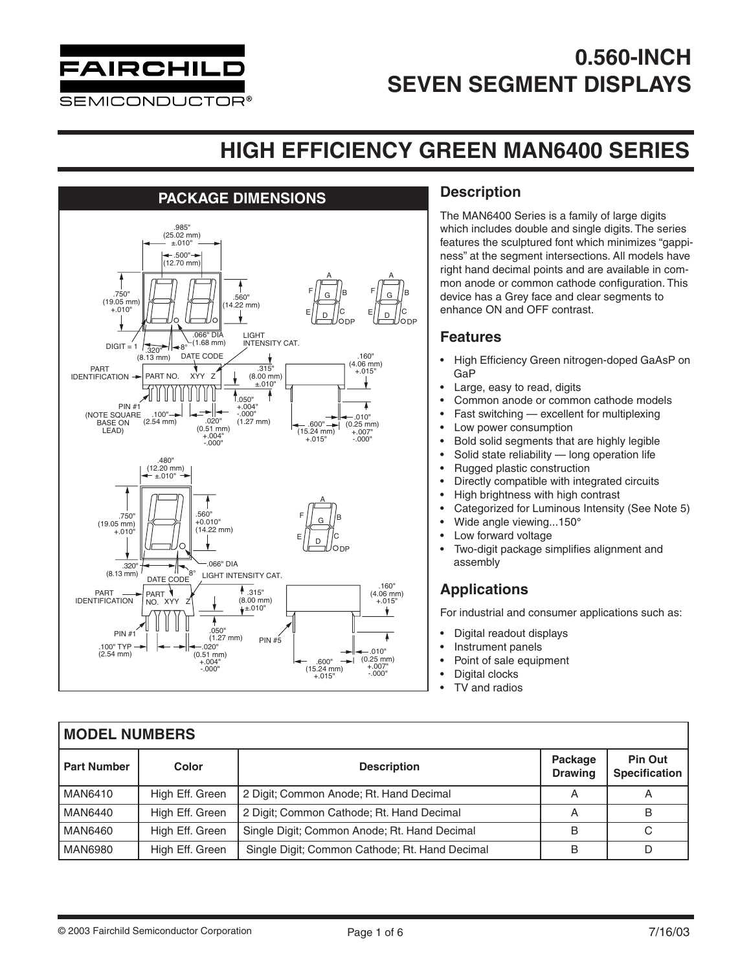

### **HIGH EFFICIENCY GREEN MAN6400 SERIES**



### **Description**

The MAN6400 Series is a family of large digits which includes double and single digits. The series features the sculptured font which minimizes "gappiness" at the segment intersections. All models have right hand decimal points and are available in common anode or common cathode configuration. This device has a Grey face and clear segments to enhance ON and OFF contrast.

#### **Features**

- High Efficiency Green nitrogen-doped GaAsP on GaP
- Large, easy to read, digits
- Common anode or common cathode models
- Fast switching excellent for multiplexing
- Low power consumption
- Bold solid segments that are highly legible
- Solid state reliability long operation life
- Rugged plastic construction
- Directly compatible with integrated circuits
- High brightness with high contrast
- Categorized for Luminous Intensity (See Note 5)
- Wide angle viewing...150°
- Low forward voltage
- Two-digit package simplifies alignment and assembly

### **Applications**

For industrial and consumer applications such as:

- Digital readout displays
- Instrument panels
	- Point of sale equipment
- Digital clocks
- TV and radios

| <b>MODEL NUMBERS</b> |                 |                                                |                           |                                        |  |  |  |
|----------------------|-----------------|------------------------------------------------|---------------------------|----------------------------------------|--|--|--|
| <b>Part Number</b>   | Color           | <b>Description</b>                             | Package<br><b>Drawing</b> | <b>Pin Out</b><br><b>Specification</b> |  |  |  |
| <b>MAN6410</b>       | High Eff. Green | 2 Digit; Common Anode; Rt. Hand Decimal        | A                         | A                                      |  |  |  |
| <b>MAN6440</b>       | High Eff. Green | 2 Digit; Common Cathode; Rt. Hand Decimal      | Α                         | B                                      |  |  |  |
| <b>MAN6460</b>       | High Eff. Green | Single Digit; Common Anode; Rt. Hand Decimal   | B                         | C                                      |  |  |  |
| <b>MAN6980</b>       | High Eff. Green | Single Digit; Common Cathode; Rt. Hand Decimal | B                         | D                                      |  |  |  |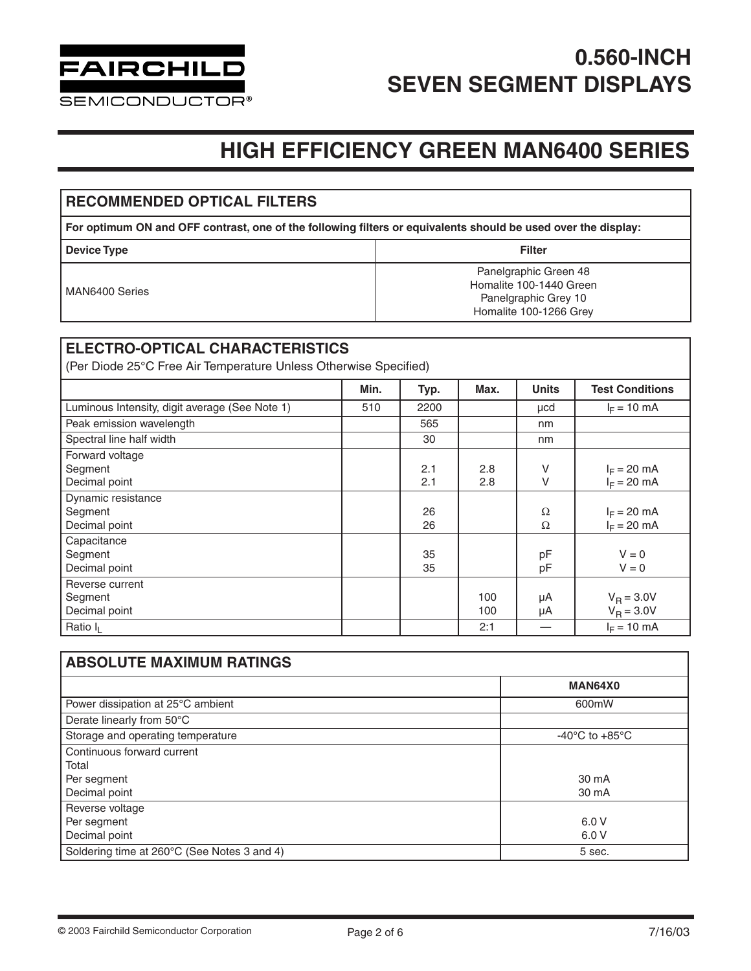

**SEMICONDUCTOR®** 

### **HIGH EFFICIENCY GREEN MAN6400 SERIES**

#### **RECOMMENDED OPTICAL FILTERS For optimum ON and OFF contrast, one of the following filters or equivalents should be used over the display: Device Type Filter** MAN6400 Series Panelgraphic Green 48 Homalite 100-1440 Green Panelgraphic Grey 10 Homalite 100-1266 Grey

#### **ELECTRO-OPTICAL CHARACTERISTICS**

(Per Diode 25°C Free Air Temperature Unless Otherwise Specified)

|                                                | Min. | Typ. | Max. | <b>Units</b> | <b>Test Conditions</b> |
|------------------------------------------------|------|------|------|--------------|------------------------|
| Luminous Intensity, digit average (See Note 1) | 510  | 2200 |      | µcd          | $I_F = 10 \text{ mA}$  |
| Peak emission wavelength                       |      | 565  |      | nm           |                        |
| Spectral line half width                       |      | 30   |      | nm           |                        |
| Forward voltage                                |      |      |      |              |                        |
| Segment                                        |      | 2.1  | 2.8  | V            | $I_F = 20$ mA          |
| Decimal point                                  |      | 2.1  | 2.8  | $\vee$       | $I_F = 20$ mA          |
| Dynamic resistance                             |      |      |      |              |                        |
| Segment                                        |      | 26   |      | Ω            | $I_F = 20$ mA          |
| Decimal point                                  |      | 26   |      | Ω            | $I_F = 20$ mA          |
| Capacitance                                    |      |      |      |              |                        |
| Segment                                        |      | 35   |      | pF           | $V = 0$                |
| Decimal point                                  |      | 35   |      | pF           | $V = 0$                |
| Reverse current                                |      |      |      |              |                        |
| Segment                                        |      |      | 100  | μA           | $V_B = 3.0V$           |
| Decimal point                                  |      |      | 100  | μA           | $V_B = 3.0V$           |
| Ratio I <sub>I</sub>                           |      |      | 2:1  |              | $I_F = 10$ mA          |

| <b>ABSOLUTE MAXIMUM RATINGS</b>             |                                      |  |  |  |
|---------------------------------------------|--------------------------------------|--|--|--|
|                                             | MAN64X0                              |  |  |  |
| Power dissipation at 25°C ambient           | 600mW                                |  |  |  |
| Derate linearly from 50°C                   |                                      |  |  |  |
| Storage and operating temperature           | -40 $^{\circ}$ C to +85 $^{\circ}$ C |  |  |  |
| Continuous forward current                  |                                      |  |  |  |
| Total                                       |                                      |  |  |  |
| Per segment                                 | 30 mA                                |  |  |  |
| Decimal point                               | 30 mA                                |  |  |  |
| Reverse voltage                             |                                      |  |  |  |
| Per segment                                 | 6.0V                                 |  |  |  |
| Decimal point                               | 6.0V                                 |  |  |  |
| Soldering time at 260°C (See Notes 3 and 4) | 5 sec.                               |  |  |  |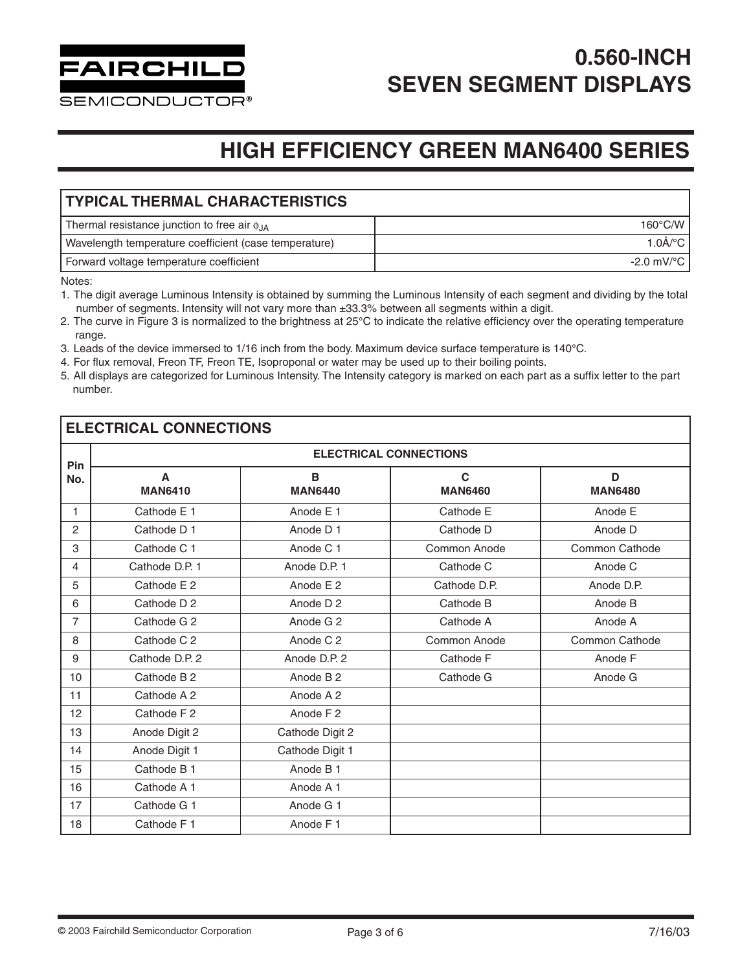

**SEMICONDUCTOR®** 

### **HIGH EFFICIENCY GREEN MAN6400 SERIES**

### **TYPICAL THERMAL CHARACTERISTICS** Thermal resistance junction to free air  $\phi_{JA}$  160°C/W Wavelength temperature coefficient (case temperature) and the state of the state of the state of the state of the state of the state of the state of the state of the state of the state of the state of the state of the stat Forward voltage temperature coefficient -2.0 mV/°C

Notes:

- 1. The digit average Luminous Intensity is obtained by summing the Luminous Intensity of each segment and dividing by the total number of segments. Intensity will not vary more than ±33.3% between all segments within a digit.
- 2. The curve in Figure 3 is normalized to the brightness at 25°C to indicate the relative efficiency over the operating temperature range.
- 3. Leads of the device immersed to 1/16 inch from the body. Maximum device surface temperature is 140°C.
- 4. For flux removal, Freon TF, Freon TE, Isoproponal or water may be used up to their boiling points.
- 5. All displays are categorized for Luminous Intensity. The Intensity category is marked on each part as a suffix letter to the part number.

### **ELECTRICAL CONNECTIONS**

| Pin            | <b>ELECTRICAL CONNECTIONS</b> |                      |                                |                       |  |  |  |
|----------------|-------------------------------|----------------------|--------------------------------|-----------------------|--|--|--|
| No.            | A<br><b>MAN6410</b>           | B<br><b>MAN6440</b>  | $\mathbf{C}$<br><b>MAN6460</b> | D<br><b>MAN6480</b>   |  |  |  |
| 1              | Cathode E 1                   | Anode E 1            | Cathode E                      | Anode E               |  |  |  |
| $\overline{2}$ | Cathode D 1                   | Anode D 1            | Cathode D                      | Anode D               |  |  |  |
| 3              | Cathode C 1                   | Anode C 1            | Common Anode                   | Common Cathode        |  |  |  |
| 4              | Cathode D.P. 1                | Anode D.P. 1         | Cathode C                      | Anode C               |  |  |  |
| 5              | Cathode E 2                   | Anode E 2            | Cathode D.P.                   | Anode D.P.            |  |  |  |
| 6              | Cathode D 2                   | Anode D <sub>2</sub> | Cathode B                      | Anode B               |  |  |  |
| $\overline{7}$ | Cathode G 2                   | Anode G 2            | Cathode A                      | Anode A               |  |  |  |
| 8              | Cathode C 2                   | Anode C 2            | Common Anode                   | <b>Common Cathode</b> |  |  |  |
| 9              | Cathode D.P. 2                | Anode D.P. 2         | Cathode F                      | Anode F               |  |  |  |
| 10             | Cathode B 2                   | Anode B <sub>2</sub> | Cathode G                      | Anode G               |  |  |  |
| 11             | Cathode A 2                   | Anode A 2            |                                |                       |  |  |  |
| 12             | Cathode F 2                   | Anode F <sub>2</sub> |                                |                       |  |  |  |
| 13             | Anode Digit 2                 | Cathode Digit 2      |                                |                       |  |  |  |
| 14             | Anode Digit 1                 | Cathode Digit 1      |                                |                       |  |  |  |
| 15             | Cathode B 1                   | Anode B 1            |                                |                       |  |  |  |
| 16             | Cathode A 1                   | Anode A 1            |                                |                       |  |  |  |
| 17             | Cathode G 1                   | Anode G 1            |                                |                       |  |  |  |
| 18             | Cathode F 1                   | Anode F1             |                                |                       |  |  |  |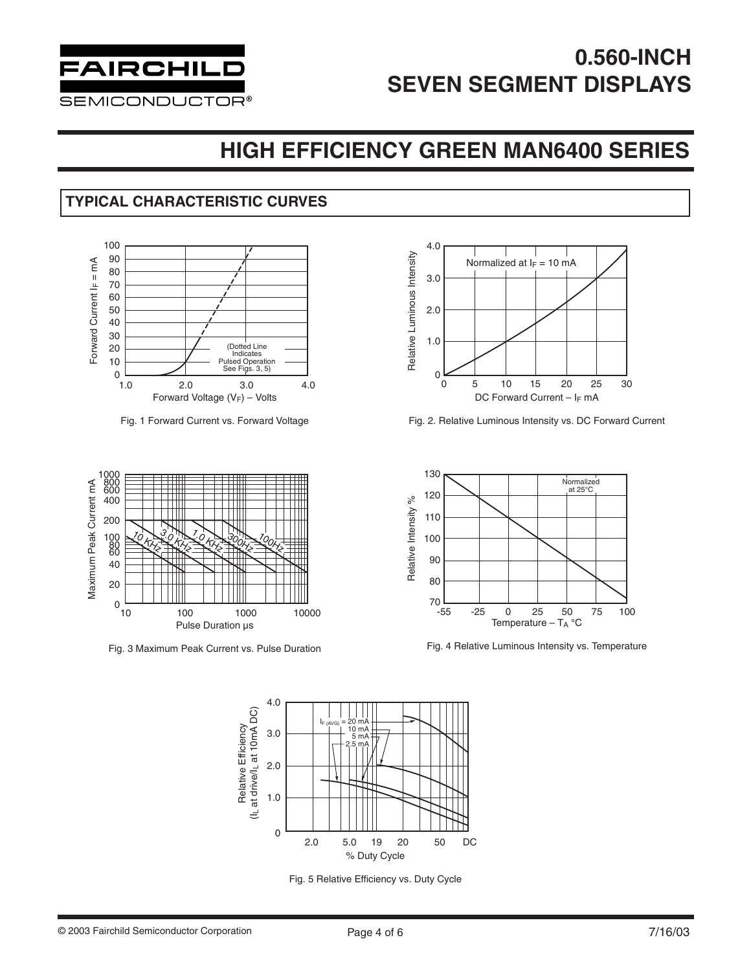

### **HIGH EFFICIENCY GREEN MAN6400 SERIES**

### **TYPICAL CHARACTERISTIC CURVES**



Fig. 1 Forward Current vs. Forward Voltage



Fig. 3 Maximum Peak Current vs. Pulse Duration



Fig. 2. Relative Luminous Intensity vs. DC Forward Current



Fig. 4 Relative Luminous Intensity vs. Temperature



Fig. 5 Relative Efficiency vs. Duty Cycle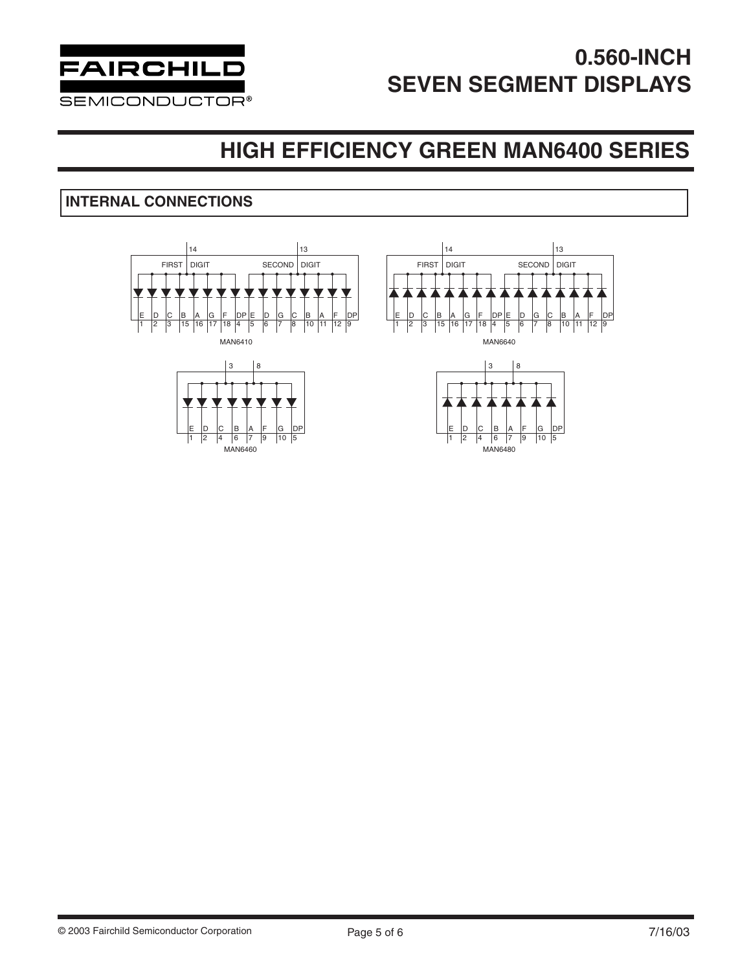

### **HIGH EFFICIENCY GREEN MAN6400 SERIES**

### **INTERNAL CONNECTIONS**